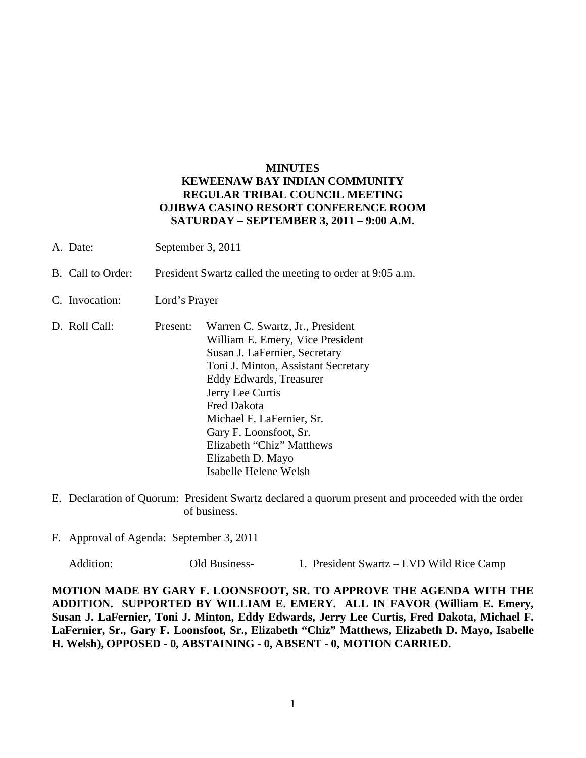## **MINUTES KEWEENAW BAY INDIAN COMMUNITY REGULAR TRIBAL COUNCIL MEETING OJIBWA CASINO RESORT CONFERENCE ROOM SATURDAY – SEPTEMBER 3, 2011 – 9:00 A.M.**

- A. Date: September 3, 2011
- B. Call to Order: President Swartz called the meeting to order at 9:05 a.m.
- C. Invocation: Lord's Prayer
- D. Roll Call: Present: Warren C. Swartz, Jr., President William E. Emery, Vice President Susan J. LaFernier, Secretary Toni J. Minton, Assistant Secretary Eddy Edwards, Treasurer Jerry Lee Curtis Fred Dakota Michael F. LaFernier, Sr. Gary F. Loonsfoot, Sr. Elizabeth "Chiz" Matthews Elizabeth D. Mayo Isabelle Helene Welsh
- E. Declaration of Quorum: President Swartz declared a quorum present and proceeded with the order of business.
- F. Approval of Agenda: September 3, 2011

Addition: Old Business- 1. President Swartz – LVD Wild Rice Camp

**MOTION MADE BY GARY F. LOONSFOOT, SR. TO APPROVE THE AGENDA WITH THE ADDITION. SUPPORTED BY WILLIAM E. EMERY. ALL IN FAVOR (William E. Emery, Susan J. LaFernier, Toni J. Minton, Eddy Edwards, Jerry Lee Curtis, Fred Dakota, Michael F. LaFernier, Sr., Gary F. Loonsfoot, Sr., Elizabeth "Chiz" Matthews, Elizabeth D. Mayo, Isabelle H. Welsh), OPPOSED - 0, ABSTAINING - 0, ABSENT - 0, MOTION CARRIED.**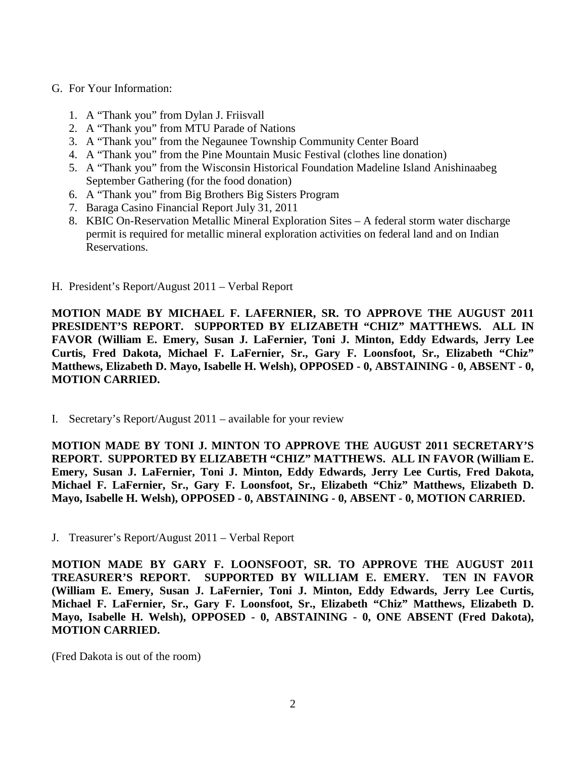## G. For Your Information:

- 1. A "Thank you" from Dylan J. Friisvall
- 2. A "Thank you" from MTU Parade of Nations
- 3. A "Thank you" from the Negaunee Township Community Center Board
- 4. A "Thank you" from the Pine Mountain Music Festival (clothes line donation)
- 5. A "Thank you" from the Wisconsin Historical Foundation Madeline Island Anishinaabeg September Gathering (for the food donation)
- 6. A "Thank you" from Big Brothers Big Sisters Program
- 7. Baraga Casino Financial Report July 31, 2011
- 8. KBIC On-Reservation Metallic Mineral Exploration Sites A federal storm water discharge permit is required for metallic mineral exploration activities on federal land and on Indian Reservations.
- H. President's Report/August 2011 Verbal Report

**MOTION MADE BY MICHAEL F. LAFERNIER, SR. TO APPROVE THE AUGUST 2011 PRESIDENT'S REPORT. SUPPORTED BY ELIZABETH "CHIZ" MATTHEWS. ALL IN FAVOR (William E. Emery, Susan J. LaFernier, Toni J. Minton, Eddy Edwards, Jerry Lee Curtis, Fred Dakota, Michael F. LaFernier, Sr., Gary F. Loonsfoot, Sr., Elizabeth "Chiz" Matthews, Elizabeth D. Mayo, Isabelle H. Welsh), OPPOSED - 0, ABSTAINING - 0, ABSENT - 0, MOTION CARRIED.**

I. Secretary's Report/August 2011 – available for your review

**MOTION MADE BY TONI J. MINTON TO APPROVE THE AUGUST 2011 SECRETARY'S REPORT. SUPPORTED BY ELIZABETH "CHIZ" MATTHEWS. ALL IN FAVOR (William E. Emery, Susan J. LaFernier, Toni J. Minton, Eddy Edwards, Jerry Lee Curtis, Fred Dakota, Michael F. LaFernier, Sr., Gary F. Loonsfoot, Sr., Elizabeth "Chiz" Matthews, Elizabeth D. Mayo, Isabelle H. Welsh), OPPOSED - 0, ABSTAINING - 0, ABSENT - 0, MOTION CARRIED.**

J. Treasurer's Report/August 2011 – Verbal Report

**MOTION MADE BY GARY F. LOONSFOOT, SR. TO APPROVE THE AUGUST 2011 TREASURER'S REPORT. SUPPORTED BY WILLIAM E. EMERY. TEN IN FAVOR (William E. Emery, Susan J. LaFernier, Toni J. Minton, Eddy Edwards, Jerry Lee Curtis, Michael F. LaFernier, Sr., Gary F. Loonsfoot, Sr., Elizabeth "Chiz" Matthews, Elizabeth D. Mayo, Isabelle H. Welsh), OPPOSED - 0, ABSTAINING - 0, ONE ABSENT (Fred Dakota), MOTION CARRIED.**

(Fred Dakota is out of the room)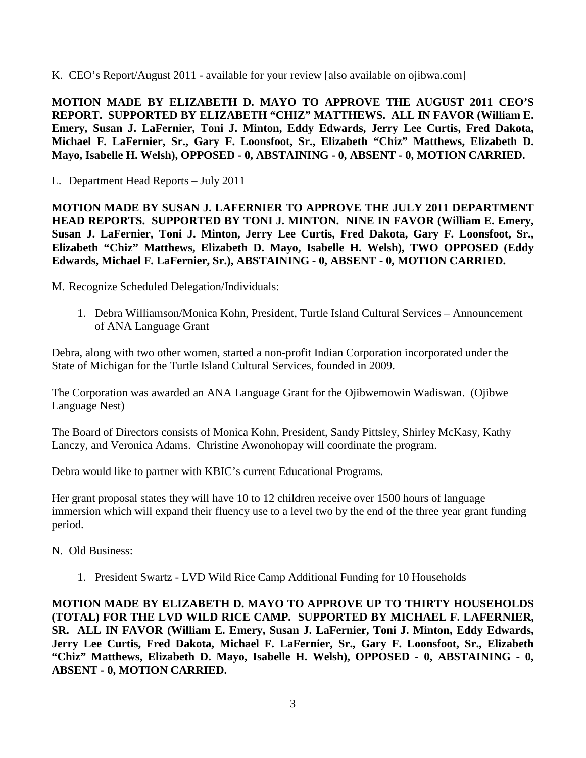K. CEO's Report/August 2011 - available for your review [also available on ojibwa.com]

**MOTION MADE BY ELIZABETH D. MAYO TO APPROVE THE AUGUST 2011 CEO'S REPORT. SUPPORTED BY ELIZABETH "CHIZ" MATTHEWS. ALL IN FAVOR (William E. Emery, Susan J. LaFernier, Toni J. Minton, Eddy Edwards, Jerry Lee Curtis, Fred Dakota, Michael F. LaFernier, Sr., Gary F. Loonsfoot, Sr., Elizabeth "Chiz" Matthews, Elizabeth D. Mayo, Isabelle H. Welsh), OPPOSED - 0, ABSTAINING - 0, ABSENT - 0, MOTION CARRIED.**

L. Department Head Reports – July 2011

**MOTION MADE BY SUSAN J. LAFERNIER TO APPROVE THE JULY 2011 DEPARTMENT HEAD REPORTS. SUPPORTED BY TONI J. MINTON. NINE IN FAVOR (William E. Emery, Susan J. LaFernier, Toni J. Minton, Jerry Lee Curtis, Fred Dakota, Gary F. Loonsfoot, Sr., Elizabeth "Chiz" Matthews, Elizabeth D. Mayo, Isabelle H. Welsh), TWO OPPOSED (Eddy Edwards, Michael F. LaFernier, Sr.), ABSTAINING - 0, ABSENT - 0, MOTION CARRIED.**

M. Recognize Scheduled Delegation/Individuals:

1. Debra Williamson/Monica Kohn, President, Turtle Island Cultural Services – Announcement of ANA Language Grant

Debra, along with two other women, started a non-profit Indian Corporation incorporated under the State of Michigan for the Turtle Island Cultural Services, founded in 2009.

The Corporation was awarded an ANA Language Grant for the Ojibwemowin Wadiswan. (Ojibwe Language Nest)

The Board of Directors consists of Monica Kohn, President, Sandy Pittsley, Shirley McKasy, Kathy Lanczy, and Veronica Adams. Christine Awonohopay will coordinate the program.

Debra would like to partner with KBIC's current Educational Programs.

Her grant proposal states they will have 10 to 12 children receive over 1500 hours of language immersion which will expand their fluency use to a level two by the end of the three year grant funding period.

N. Old Business:

1. President Swartz - LVD Wild Rice Camp Additional Funding for 10 Households

**MOTION MADE BY ELIZABETH D. MAYO TO APPROVE UP TO THIRTY HOUSEHOLDS (TOTAL) FOR THE LVD WILD RICE CAMP. SUPPORTED BY MICHAEL F. LAFERNIER, SR. ALL IN FAVOR (William E. Emery, Susan J. LaFernier, Toni J. Minton, Eddy Edwards, Jerry Lee Curtis, Fred Dakota, Michael F. LaFernier, Sr., Gary F. Loonsfoot, Sr., Elizabeth "Chiz" Matthews, Elizabeth D. Mayo, Isabelle H. Welsh), OPPOSED - 0, ABSTAINING - 0, ABSENT - 0, MOTION CARRIED.**